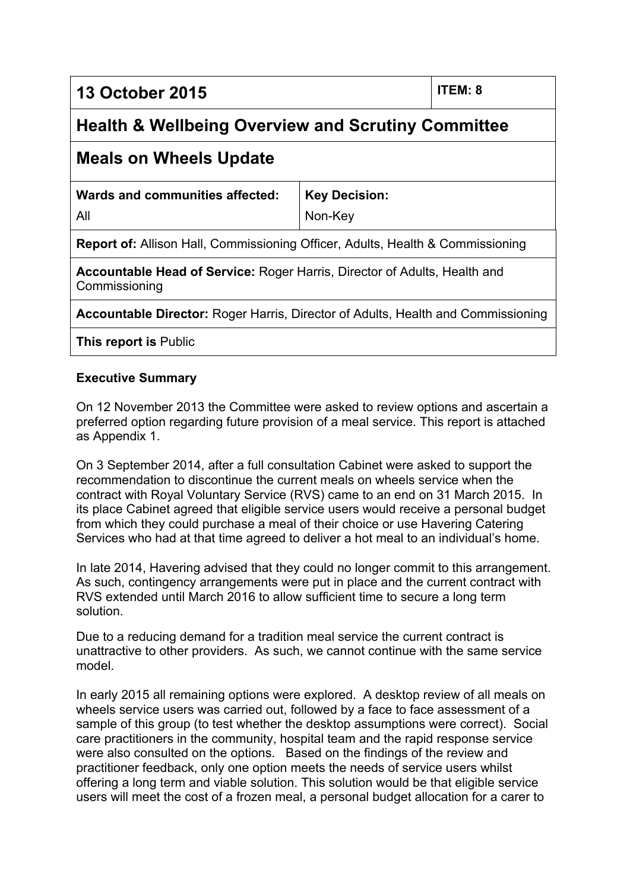**13 October 2015 ITEM: 8**

# **Health & Wellbeing Overview and Scrutiny Committee**

## **Meals on Wheels Update**

| Wards and communities affected: | <b>Key Decision:</b> |
|---------------------------------|----------------------|
| All                             | Non-Key              |

**Report of:** Allison Hall, Commissioning Officer, Adults, Health & Commissioning

**Accountable Head of Service:** Roger Harris, Director of Adults, Health and Commissioning

**Accountable Director:** Roger Harris, Director of Adults, Health and Commissioning

**This report is** Public

#### **Executive Summary**

On 12 November 2013 the Committee were asked to review options and ascertain a preferred option regarding future provision of a meal service. This report is attached as Appendix 1.

On 3 September 2014, after a full consultation Cabinet were asked to support the recommendation to discontinue the current meals on wheels service when the contract with Royal Voluntary Service (RVS) came to an end on 31 March 2015. In its place Cabinet agreed that eligible service users would receive a personal budget from which they could purchase a meal of their choice or use Havering Catering Services who had at that time agreed to deliver a hot meal to an individual's home.

In late 2014, Havering advised that they could no longer commit to this arrangement. As such, contingency arrangements were put in place and the current contract with RVS extended until March 2016 to allow sufficient time to secure a long term solution.

Due to a reducing demand for a tradition meal service the current contract is unattractive to other providers. As such, we cannot continue with the same service model.

In early 2015 all remaining options were explored. A desktop review of all meals on wheels service users was carried out, followed by a face to face assessment of a sample of this group (to test whether the desktop assumptions were correct). Social care practitioners in the community, hospital team and the rapid response service were also consulted on the options. Based on the findings of the review and practitioner feedback, only one option meets the needs of service users whilst offering a long term and viable solution. This solution would be that eligible service users will meet the cost of a frozen meal, a personal budget allocation for a carer to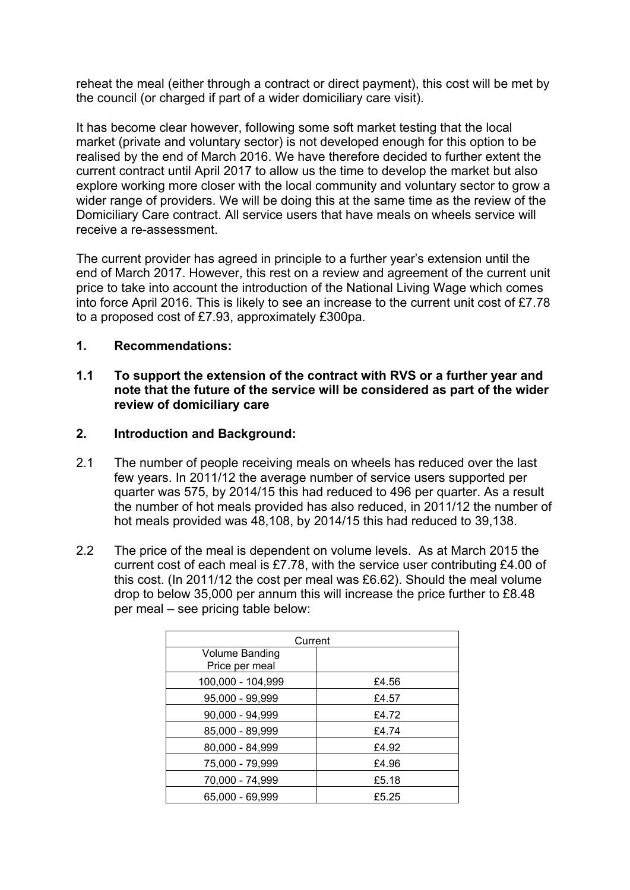reheat the meal (either through a contract or direct payment), this cost will be met by the council (or charged if part of a wider domiciliary care visit).

It has become clear however, following some soft market testing that the local market (private and voluntary sector) is not developed enough for this option to be realised by the end of March 2016. We have therefore decided to further extent the current contract until April 2017 to allow us the time to develop the market but also explore working more closer with the local community and voluntary sector to grow a wider range of providers. We will be doing this at the same time as the review of the Domiciliary Care contract. All service users that have meals on wheels service will receive a re-assessment.

The current provider has agreed in principle to a further year's extension until the end of March 2017. However, this rest on a review and agreement of the current unit price to take into account the introduction of the National Living Wage which comes into force April 2016. This is likely to see an increase to the current unit cost of £7.78 to a proposed cost of £7.93, approximately £300pa.

#### **1. Recommendations:**

#### **1.1 To support the extension of the contract with RVS or a further year and note that the future of the service will be considered as part of the wider review of domiciliary care**

#### **2. Introduction and Background:**

- 2.1 The number of people receiving meals on wheels has reduced over the last few years. In 2011/12 the average number of service users supported per quarter was 575, by 2014/15 this had reduced to 496 per quarter. As a result the number of hot meals provided has also reduced, in 2011/12 the number of hot meals provided was 48,108, by 2014/15 this had reduced to 39,138.
- 2.2 The price of the meal is dependent on volume levels. As at March 2015 the current cost of each meal is £7.78, with the service user contributing £4.00 of this cost. (In 2011/12 the cost per meal was £6.62). Should the meal volume drop to below 35,000 per annum this will increase the price further to £8.48 per meal – see pricing table below:

| Current                                 |       |  |
|-----------------------------------------|-------|--|
| <b>Volume Banding</b><br>Price per meal |       |  |
| 100,000 - 104,999                       | £4.56 |  |
| 95,000 - 99,999                         | £4.57 |  |
| 90,000 - 94,999                         | £4.72 |  |
| 85,000 - 89,999                         | £4.74 |  |
| 80,000 - 84,999                         | £4.92 |  |
| 75,000 - 79,999                         | £4.96 |  |
| 70,000 - 74,999                         | £5.18 |  |
| 65,000 - 69,999                         | £5.25 |  |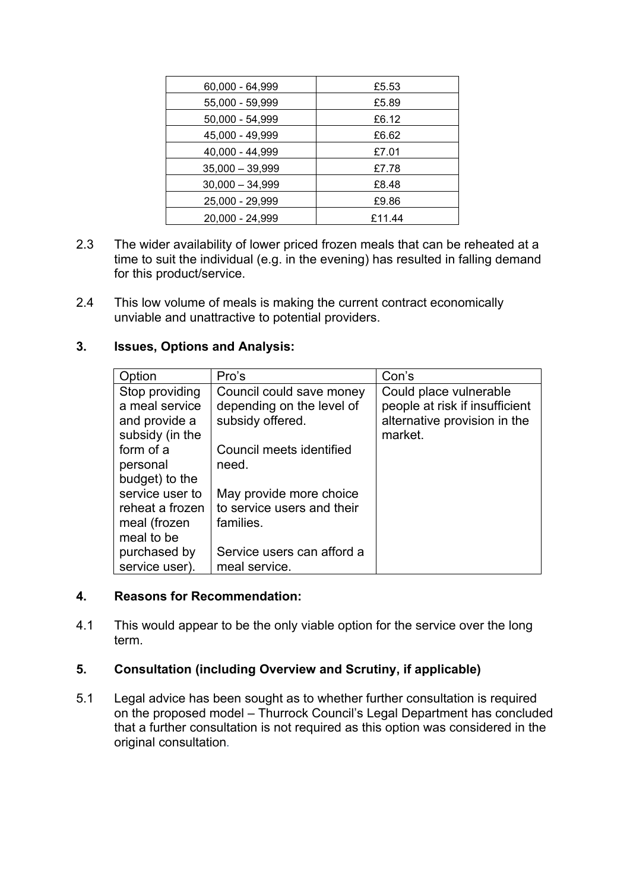| 60,000 - 64,999   | £5.53  |
|-------------------|--------|
| 55,000 - 59,999   | £5.89  |
| 50,000 - 54,999   | £6.12  |
| 45,000 - 49,999   | £6.62  |
| 40,000 - 44,999   | £7.01  |
| $35,000 - 39,999$ | £7.78  |
| $30,000 - 34,999$ | £8.48  |
| 25,000 - 29,999   | £9.86  |
| 20,000 - 24,999   | £11.44 |

- 2.3 The wider availability of lower priced frozen meals that can be reheated at a time to suit the individual (e.g. in the evening) has resulted in falling demand for this product/service.
- 2.4 This low volume of meals is making the current contract economically unviable and unattractive to potential providers.

#### **3. Issues, Options and Analysis:**

| Option          | Pro's                      | Con's                          |
|-----------------|----------------------------|--------------------------------|
| Stop providing  | Council could save money   | Could place vulnerable         |
| a meal service  | depending on the level of  | people at risk if insufficient |
| and provide a   | subsidy offered.           | alternative provision in the   |
| subsidy (in the |                            | market.                        |
| form of a       | Council meets identified   |                                |
| personal        | need.                      |                                |
| budget) to the  |                            |                                |
| service user to | May provide more choice    |                                |
| reheat a frozen | to service users and their |                                |
| meal (frozen    | families.                  |                                |
| meal to be      |                            |                                |
| purchased by    | Service users can afford a |                                |
| service user).  | meal service.              |                                |

#### **4. Reasons for Recommendation:**

4.1 This would appear to be the only viable option for the service over the long term.

#### **5. Consultation (including Overview and Scrutiny, if applicable)**

5.1 Legal advice has been sought as to whether further consultation is required on the proposed model – Thurrock Council's Legal Department has concluded that a further consultation is not required as this option was considered in the original consultation.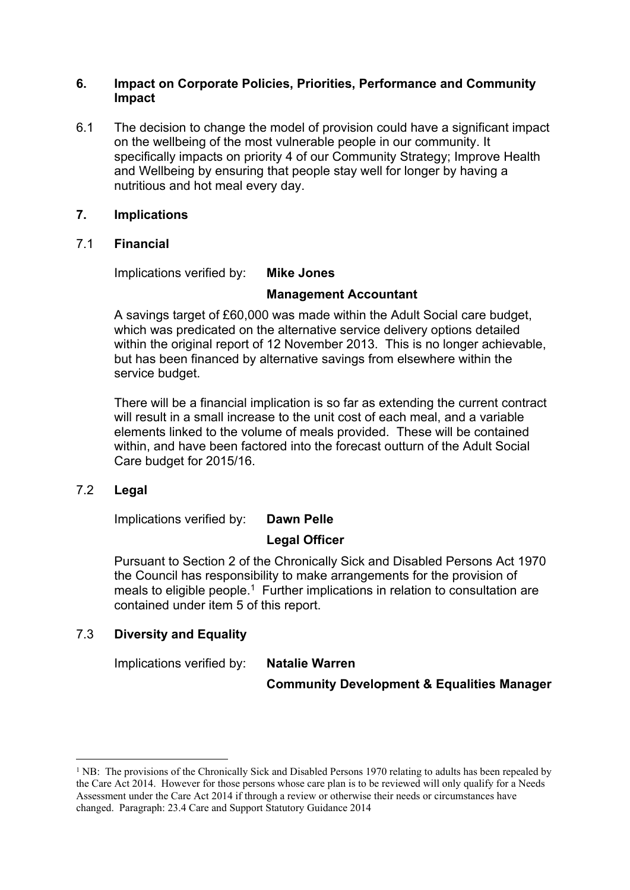#### **6. Impact on Corporate Policies, Priorities, Performance and Community Impact**

6.1 The decision to change the model of provision could have a significant impact on the wellbeing of the most vulnerable people in our community. It specifically impacts on priority 4 of our Community Strategy; Improve Health and Wellbeing by ensuring that people stay well for longer by having a nutritious and hot meal every day.

#### **7. Implications**

#### 7.1 **Financial**

Implications verified by: **Mike Jones**

#### **Management Accountant**

A savings target of £60,000 was made within the Adult Social care budget, which was predicated on the alternative service delivery options detailed within the original report of 12 November 2013. This is no longer achievable, but has been financed by alternative savings from elsewhere within the service budget.

There will be a financial implication is so far as extending the current contract will result in a small increase to the unit cost of each meal, and a variable elements linked to the volume of meals provided. These will be contained within, and have been factored into the forecast outturn of the Adult Social Care budget for 2015/16.

#### 7.2 **Legal**

Implications verified by: **Dawn Pelle**

### **Legal Officer**

Pursuant to Section 2 of the Chronically Sick and Disabled Persons Act 1970 the Council has responsibility to make arrangements for the provision of meals to eligible people.<sup>1</sup> Further implications in relation to consultation are contained under item 5 of this report.

### 7.3 **Diversity and Equality**

Implications verified by: **Natalie Warren**

**Community Development & Equalities Manager**

<sup>&</sup>lt;sup>1</sup> NB: The provisions of the Chronically Sick and Disabled Persons 1970 relating to adults has been repealed by the Care Act 2014. However for those persons whose care plan is to be reviewed will only qualify for a Needs Assessment under the Care Act 2014 if through a review or otherwise their needs or circumstances have changed. Paragraph: 23.4 Care and Support Statutory Guidance 2014